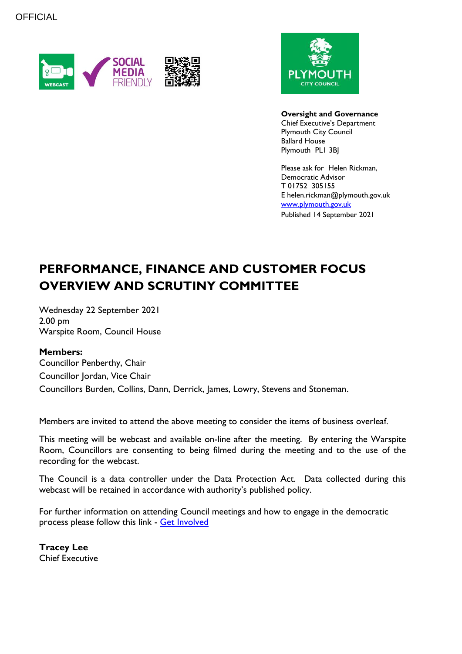



**Oversight and Governance** Chief Executive's Department Plymouth City Council Ballard House Plymouth PL1 3BJ

Please ask for Helen Rickman, Democratic Advisor T 01752 305155 E helen.rickman@plymouth.gov.uk [www.plymouth.gov.uk](https://www.plymouth.gov.uk/councillorscommitteesandmeetings)

Published 14 September 2021

# **PERFORMANCE, FINANCE AND CUSTOMER FOCUS OVERVIEW AND SCRUTINY COMMITTEE**

Wednesday 22 September 2021 2.00 pm Warspite Room, Council House

#### **Members:**

Councillor Penberthy, Chair Councillor Jordan, Vice Chair Councillors Burden, Collins, Dann, Derrick, James, Lowry, Stevens and Stoneman.

Members are invited to attend the above meeting to consider the items of business overleaf.

This meeting will be webcast and available on-line after the meeting. By entering the Warspite Room, Councillors are consenting to being filmed during the meeting and to the use of the recording for the webcast.

The Council is a data controller under the Data Protection Act. Data collected during this webcast will be retained in accordance with authority's published policy.

For further information on attending Council meetings and how to engage in the democratic process please follow this link - [Get Involved](https://www.plymouth.gov.uk/councillorscommitteesandmeetings/getinvolved)

**Tracey Lee** Chief Executive